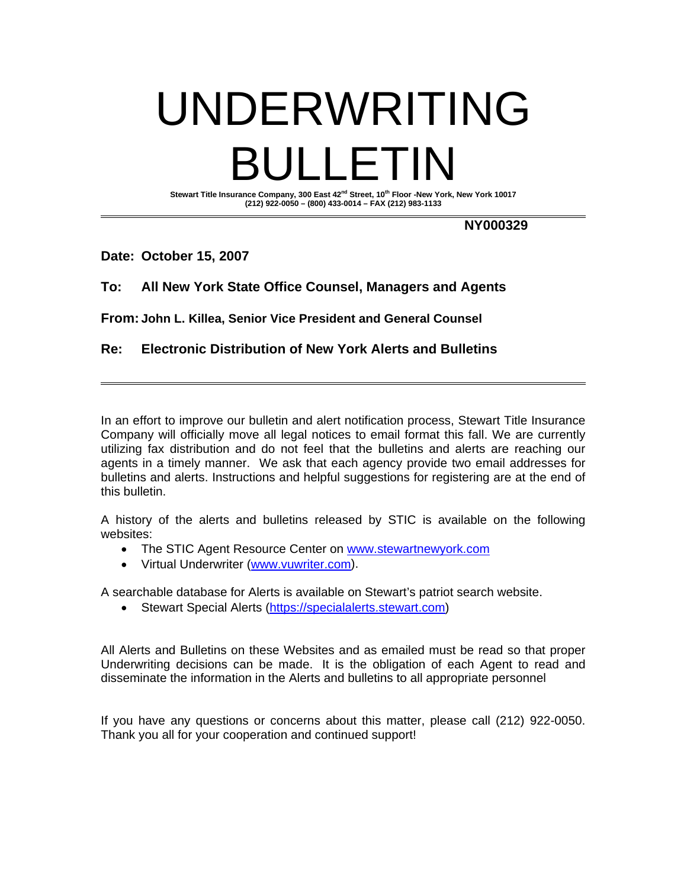# UNDERWRITING BULLETIN Stewart Title Insurance Company, 300 East 42<sup>nd</sup> Street, 10<sup>th</sup> Floor -New York, New York 10017

**(212) 922-0050 – (800) 433-0014 – FAX (212) 983-1133** 

**NY000329** 

### **Date: October 15, 2007**

# **To: All New York State Office Counsel, Managers and Agents**

**From: John L. Killea, Senior Vice President and General Counsel**

## **Re: Electronic Distribution of New York Alerts and Bulletins**

In an effort to improve our bulletin and alert notification process, Stewart Title Insurance Company will officially move all legal notices to email format this fall. We are currently utilizing fax distribution and do not feel that the bulletins and alerts are reaching our agents in a timely manner. We ask that each agency provide two email addresses for bulletins and alerts. Instructions and helpful suggestions for registering are at the end of this bulletin.

A history of the alerts and bulletins released by STIC is available on the following websites:

- The STIC Agent Resource Center on www.stewartnewyork.com
- Virtual Underwriter (www.vuwriter.com).

A searchable database for Alerts is available on Stewart's patriot search website.

• Stewart Special Alerts [\(https://specialalerts.stewart.com\)](https://specialalerts.stewart.com)

All Alerts and Bulletins on these Websites and as emailed must be read so that proper Underwriting decisions can be made. It is the obligation of each Agent to read and disseminate the information in the Alerts and bulletins to all appropriate personnel

If you have any questions or concerns about this matter, please call (212) 922-0050. Thank you all for your cooperation and continued support!